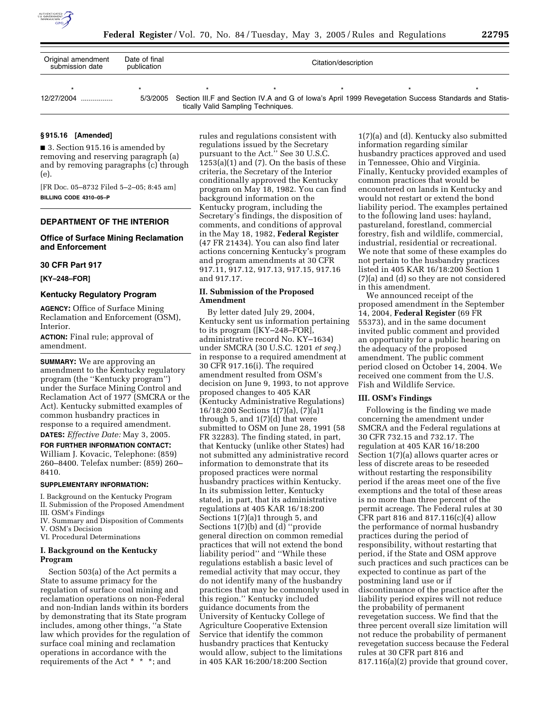

| Original amendment<br>submission date | Date of final<br>publication | Citation/description               |                                                                                                               |  |  |  |  |  |  |
|---------------------------------------|------------------------------|------------------------------------|---------------------------------------------------------------------------------------------------------------|--|--|--|--|--|--|
|                                       |                              |                                    |                                                                                                               |  |  |  |  |  |  |
| 12/27/2004                            |                              | tically Valid Sampling Techniques. | 5/3/2005 Section III.F and Section IV.A and G of Iowa's April 1999 Revegetation Success Standards and Statis- |  |  |  |  |  |  |

#### **§ 915.16 [Amended]**

■ 3. Section 915.16 is amended by removing and reserving paragraph (a) and by removing paragraphs (c) through (e).

[FR Doc. 05–8732 Filed 5–2–05; 8:45 am] **BILLING CODE 4310–05–P**

### **DEPARTMENT OF THE INTERIOR**

#### **Office of Surface Mining Reclamation and Enforcement**

### **30 CFR Part 917**

**[KY–248–FOR]** 

#### **Kentucky Regulatory Program**

**AGENCY:** Office of Surface Mining Reclamation and Enforcement (OSM), Interior.

**ACTION:** Final rule; approval of amendment.

**SUMMARY:** We are approving an amendment to the Kentucky regulatory program (the ''Kentucky program'') under the Surface Mining Control and Reclamation Act of 1977 (SMCRA or the Act). Kentucky submitted examples of common husbandry practices in response to a required amendment.

**DATES:** *Effective Date:* May 3, 2005.

**FOR FURTHER INFORMATION CONTACT:** William J. Kovacic, Telephone: (859) 260–8400. Telefax number: (859) 260– 8410.

#### **SUPPLEMENTARY INFORMATION:**

I. Background on the Kentucky Program II. Submission of the Proposed Amendment III. OSM's Findings

IV. Summary and Disposition of Comments

- V. OSM's Decision
- VI. Procedural Determinations

## **I. Background on the Kentucky Program**

Section 503(a) of the Act permits a State to assume primacy for the regulation of surface coal mining and reclamation operations on non-Federal and non-Indian lands within its borders by demonstrating that its State program includes, among other things, ''a State law which provides for the regulation of surface coal mining and reclamation operations in accordance with the requirements of the Act \* \* \*; and

rules and regulations consistent with regulations issued by the Secretary pursuant to the Act.'' See 30 U.S.C.  $1253(a)(1)$  and  $(7)$ . On the basis of these criteria, the Secretary of the Interior conditionally approved the Kentucky program on May 18, 1982. You can find background information on the Kentucky program, including the Secretary's findings, the disposition of comments, and conditions of approval in the May 18, 1982, **Federal Register** (47 FR 21434). You can also find later actions concerning Kentucky's program and program amendments at 30 CFR 917.11, 917.12, 917.13, 917.15, 917.16 and 917.17.

### **II. Submission of the Proposed Amendment**

By letter dated July 29, 2004, Kentucky sent us information pertaining to its program ([KY–248–FOR], administrative record No. KY–1634) under SMCRA (30 U.S.C. 1201 *et seq.*) in response to a required amendment at 30 CFR 917.16(i). The required amendment resulted from OSM's decision on June 9, 1993, to not approve proposed changes to 405 KAR (Kentucky Administrative Regulations) 16/18:200 Sections 1(7)(a), (7)(a)1 through 5, and 1(7)(d) that were submitted to OSM on June 28, 1991 (58 FR 32283). The finding stated, in part, that Kentucky (unlike other States) had not submitted any administrative record information to demonstrate that its proposed practices were normal husbandry practices within Kentucky. In its submission letter, Kentucky stated, in part, that its administrative regulations at 405 KAR 16/18:200 Sections 1(7)(a)1 through 5, and Sections 1(7)(b) and (d) ''provide general direction on common remedial practices that will not extend the bond liability period'' and ''While these regulations establish a basic level of remedial activity that may occur, they do not identify many of the husbandry practices that may be commonly used in this region.'' Kentucky included guidance documents from the University of Kentucky College of Agriculture Cooperative Extension Service that identify the common husbandry practices that Kentucky would allow, subject to the limitations in 405 KAR 16:200/18:200 Section

1(7)(a) and (d). Kentucky also submitted information regarding similar husbandry practices approved and used in Tennessee, Ohio and Virginia. Finally, Kentucky provided examples of common practices that would be encountered on lands in Kentucky and would not restart or extend the bond liability period. The examples pertained to the following land uses: hayland, pastureland, forestland, commercial forestry, fish and wildlife, commercial, industrial, residential or recreational. We note that some of these examples do not pertain to the husbandry practices listed in 405 KAR 16/18:200 Section 1 (7)(a) and (d) so they are not considered in this amendment.

We announced receipt of the proposed amendment in the September 14, 2004, **Federal Register** (69 FR 55373), and in the same document invited public comment and provided an opportunity for a public hearing on the adequacy of the proposed amendment. The public comment period closed on October 14, 2004. We received one comment from the U.S. Fish and Wildlife Service.

#### **III. OSM's Findings**

Following is the finding we made concerning the amendment under SMCRA and the Federal regulations at 30 CFR 732.15 and 732.17. The regulation at 405 KAR 16/18:200 Section 1(7)(a) allows quarter acres or less of discrete areas to be reseeded without restarting the responsibility period if the areas meet one of the five exemptions and the total of these areas is no more than three percent of the permit acreage. The Federal rules at 30 CFR part 816 and 817.116(c)(4) allow the performance of normal husbandry practices during the period of responsibility, without restarting that period, if the State and OSM approve such practices and such practices can be expected to continue as part of the postmining land use or if discontinuance of the practice after the liability period expires will not reduce the probability of permanent revegetation success. We find that the three percent overall size limitation will not reduce the probability of permanent revegetation success because the Federal rules at 30 CFR part 816 and 817.116(a)(2) provide that ground cover,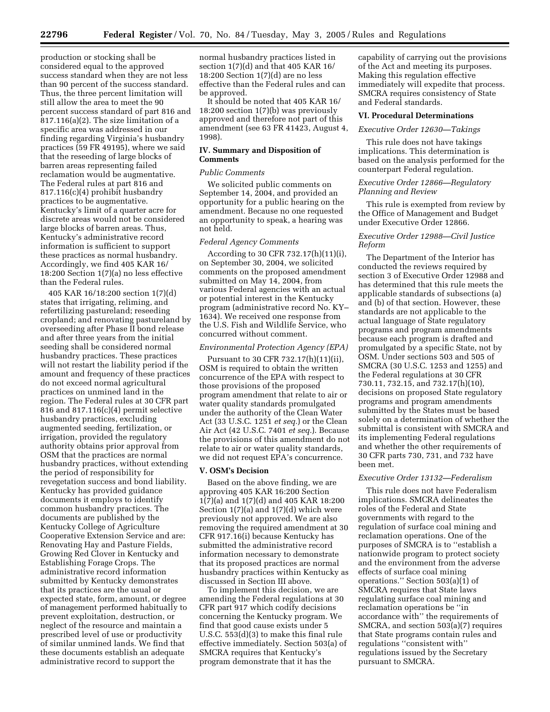production or stocking shall be considered equal to the approved success standard when they are not less than 90 percent of the success standard. Thus, the three percent limitation will still allow the area to meet the 90 percent success standard of part 816 and 817.116(a)(2). The size limitation of a specific area was addressed in our finding regarding Virginia's husbandry practices (59 FR 49195), where we said that the reseeding of large blocks of barren areas representing failed reclamation would be augmentative. The Federal rules at part 816 and 817.116(c)(4) prohibit husbandry practices to be augmentative. Kentucky's limit of a quarter acre for discrete areas would not be considered large blocks of barren areas. Thus, Kentucky's administrative record information is sufficient to support these practices as normal husbandry. Accordingly, we find 405 KAR 16/ 18:200 Section 1(7)(a) no less effective than the Federal rules.

405 KAR 16/18:200 section 1(7)(d) states that irrigating, reliming, and refertilizing pastureland; reseeding cropland; and renovating pastureland by overseeding after Phase II bond release and after three years from the initial seeding shall be considered normal husbandry practices. These practices will not restart the liability period if the amount and frequency of these practices do not exceed normal agricultural practices on unmined land in the region. The Federal rules at 30 CFR part 816 and 817.116(c)(4) permit selective husbandry practices, excluding augmented seeding, fertilization, or irrigation, provided the regulatory authority obtains prior approval from OSM that the practices are normal husbandry practices, without extending the period of responsibility for revegetation success and bond liability. Kentucky has provided guidance documents it employs to identify common husbandry practices. The documents are published by the Kentucky College of Agriculture Cooperative Extension Service and are: Renovating Hay and Pasture Fields, Growing Red Clover in Kentucky and Establishing Forage Crops. The administrative record information submitted by Kentucky demonstrates that its practices are the usual or expected state, form, amount, or degree of management performed habitually to prevent exploitation, destruction, or neglect of the resource and maintain a prescribed level of use or productivity of similar unmined lands. We find that these documents establish an adequate administrative record to support the

normal husbandry practices listed in section 1(7)(d) and that 405 KAR 16/ 18:200 Section 1(7)(d) are no less effective than the Federal rules and can be approved.

It should be noted that 405 KAR 16/ 18:200 section 1(7)(b) was previously approved and therefore not part of this amendment (see 63 FR 41423, August 4, 1998).

### **IV. Summary and Disposition of Comments**

### *Public Comments*

We solicited public comments on September 14, 2004, and provided an opportunity for a public hearing on the amendment. Because no one requested an opportunity to speak, a hearing was not held.

### *Federal Agency Comments*

According to 30 CFR 732.17(h)(11)(i), on September 30, 2004, we solicited comments on the proposed amendment submitted on May 14, 2004, from various Federal agencies with an actual or potential interest in the Kentucky program (administrative record No. KY– 1634). We received one response from the U.S. Fish and Wildlife Service, who concurred without comment.

#### *Environmental Protection Agency (EPA)*

Pursuant to 30 CFR 732.17(h)(11)(ii), OSM is required to obtain the written concurrence of the EPA with respect to those provisions of the proposed program amendment that relate to air or water quality standards promulgated under the authority of the Clean Water Act (33 U.S.C. 1251 *et seq.*) or the Clean Air Act (42 U.S.C. 7401 *et seq.*). Because the provisions of this amendment do not relate to air or water quality standards, we did not request EPA's concurrence.

#### **V. OSM's Decision**

Based on the above finding, we are approving 405 KAR 16:200 Section 1(7)(a) and 1(7)(d) and 405 KAR 18:200 Section  $1(7)(a)$  and  $1(7)(d)$  which were previously not approved. We are also removing the required amendment at 30 CFR 917.16(i) because Kentucky has submitted the administrative record information necessary to demonstrate that its proposed practices are normal husbandry practices within Kentucky as discussed in Section III above.

To implement this decision, we are amending the Federal regulations at 30 CFR part 917 which codify decisions concerning the Kentucky program. We find that good cause exists under 5 U.S.C. 553(d)(3) to make this final rule effective immediately. Section 503(a) of SMCRA requires that Kentucky's program demonstrate that it has the

capability of carrying out the provisions of the Act and meeting its purposes. Making this regulation effective immediately will expedite that process. SMCRA requires consistency of State and Federal standards.

## **VI. Procedural Determinations**

### *Executive Order 12630—Takings*

This rule does not have takings implications. This determination is based on the analysis performed for the counterpart Federal regulation.

## *Executive Order 12866—Regulatory Planning and Review*

This rule is exempted from review by the Office of Management and Budget under Executive Order 12866.

### *Executive Order 12988—Civil Justice Reform*

The Department of the Interior has conducted the reviews required by section 3 of Executive Order 12988 and has determined that this rule meets the applicable standards of subsections (a) and (b) of that section. However, these standards are not applicable to the actual language of State regulatory programs and program amendments because each program is drafted and promulgated by a specific State, not by OSM. Under sections 503 and 505 of SMCRA (30 U.S.C. 1253 and 1255) and the Federal regulations at 30 CFR 730.11, 732.15, and 732.17(h)(10), decisions on proposed State regulatory programs and program amendments submitted by the States must be based solely on a determination of whether the submittal is consistent with SMCRA and its implementing Federal regulations and whether the other requirements of 30 CFR parts 730, 731, and 732 have been met.

### *Executive Order 13132—Federalism*

This rule does not have Federalism implications. SMCRA delineates the roles of the Federal and State governments with regard to the regulation of surface coal mining and reclamation operations. One of the purposes of SMCRA is to ''establish a nationwide program to protect society and the environment from the adverse effects of surface coal mining operations.'' Section 503(a)(1) of SMCRA requires that State laws regulating surface coal mining and reclamation operations be ''in accordance with'' the requirements of SMCRA, and section 503(a)(7) requires that State programs contain rules and regulations ''consistent with'' regulations issued by the Secretary pursuant to SMCRA.